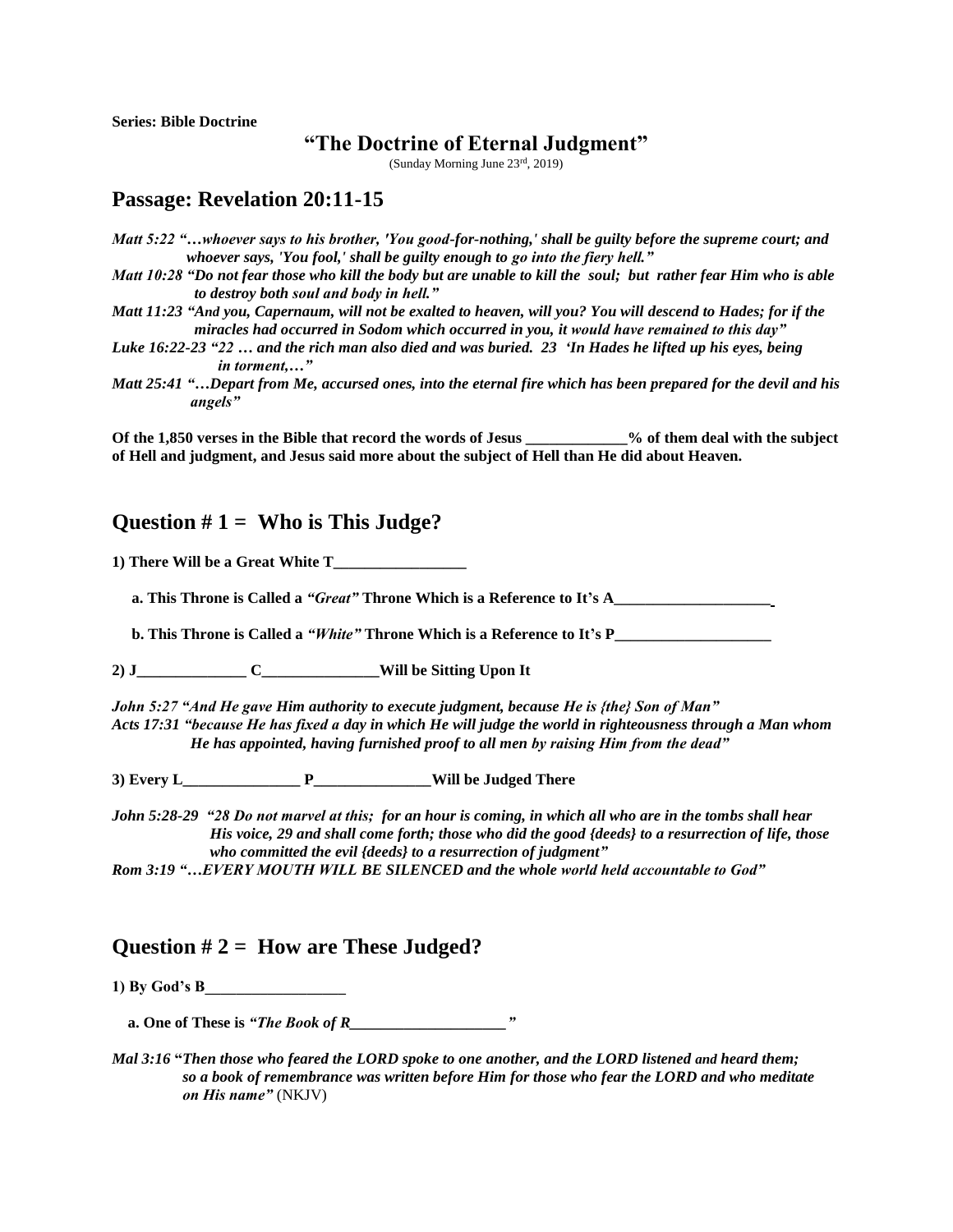**Series: Bible Doctrine**

# **"The Doctrine of Eternal Judgment"**

(Sunday Morning June 23rd, 2019)

# **Passage: Revelation 20:11-15**

*Matt 5:22 "…whoever says to his brother, 'You good-for-nothing,' shall be guilty before the supreme court; and whoever says, 'You fool,' shall be guilty enough to go into the fiery hell."*

*Matt 10:28 "Do not fear those who kill the body but are unable to kill the soul; but rather fear Him who is able to destroy both soul and body in hell."*

*Matt 11:23 "And you, Capernaum, will not be exalted to heaven, will you? You will descend to Hades; for if the miracles had occurred in Sodom which occurred in you, it would have remained to this day"*

*Luke 16:22-23 "22 … and the rich man also died and was buried. 23 'In Hades he lifted up his eyes, being in torment,…"*

*Matt 25:41 "…Depart from Me, accursed ones, into the eternal fire which has been prepared for the devil and his angels"*

**Of the 1,850 verses in the Bible that record the words of Jesus \_\_\_\_\_\_\_\_\_\_\_\_\_% of them deal with the subject of Hell and judgment, and Jesus said more about the subject of Hell than He did about Heaven.**

### **Question # 1 = Who is This Judge?**

**1) There Will be a Great White T\_\_\_\_\_\_\_\_\_\_\_\_\_\_\_\_\_**

 **a. This Throne is Called a** *"Great"* **Throne Which is a Reference to It's A\_\_\_\_\_\_\_\_\_\_\_\_\_\_\_\_\_\_\_\_**

**b. This Throne is Called a** *"White"* **Throne Which is a Reference to It's P** 

**2) J\_\_\_\_\_\_\_\_\_\_\_\_\_\_ C\_\_\_\_\_\_\_\_\_\_\_\_\_\_\_Will be Sitting Upon It**

*John 5:27 "And He gave Him authority to execute judgment, because He is {the} Son of Man" Acts 17:31 "because He has fixed a day in which He will judge the world in righteousness through a Man whom He has appointed, having furnished proof to all men by raising Him from the dead"* 

**3) Every L\_\_\_\_\_\_\_\_\_\_\_\_\_\_\_ P\_\_\_\_\_\_\_\_\_\_\_\_\_\_\_Will be Judged There**

*John 5:28-29 "28 Do not marvel at this; for an hour is coming, in which all who are in the tombs shall hear His voice, 29 and shall come forth; those who did the good {deeds} to a resurrection of life, those who committed the evil {deeds} to a resurrection of judgment"*

*Rom 3:19 "…EVERY MOUTH WILL BE SILENCED and the whole world held accountable to God"*

### **Question # 2 = How are These Judged?**

**1) By God's B\_\_\_\_\_\_\_\_\_\_\_\_\_\_\_\_\_\_**

 **a. One of These is** *"The Book of R\_\_\_\_\_\_\_\_\_\_\_\_\_\_\_\_\_\_\_\_"*

*Mal 3:16* **"***Then those who feared the LORD spoke to one another, and the LORD listened and heard them; so a book of remembrance was written before Him for those who fear the LORD and who meditate on His name"* (NKJV)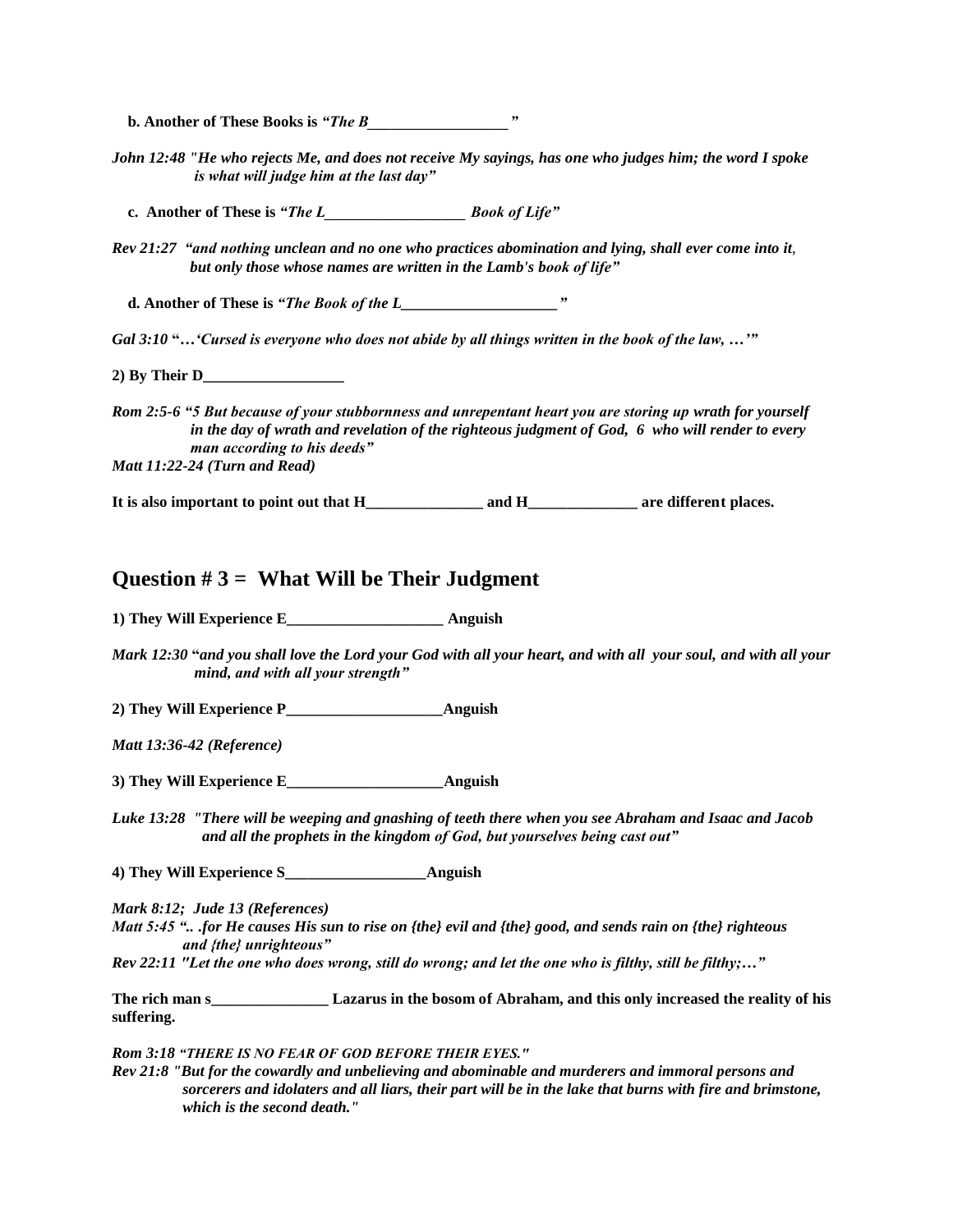**b.** Another of These Books is *"The B*  $\cdots$ 

*John 12:48 "He who rejects Me, and does not receive My sayings, has one who judges him; the word I spoke is what will judge him at the last day"*

 **c. Another of These is** *"The L\_\_\_\_\_\_\_\_\_\_\_\_\_\_\_\_\_\_ Book of Life"*

*Rev 21:27 "and nothing unclean and no one who practices abomination and lying, shall ever come into it*,  *but only those whose names are written in the Lamb's book of life"*

 **d. Another of These is** *"The Book of the L\_\_\_\_\_\_\_\_\_\_\_\_\_\_\_\_\_\_\_\_"*

*Gal 3:10* **"…***'Cursed is everyone who does not abide by all things written in the book of the law, …'"*

**2) By Their D\_\_\_\_\_\_\_\_\_\_\_\_\_\_\_\_\_\_**

*Rom 2:5-6 "5 But because of your stubbornness and unrepentant heart you are storing up wrath for yourself in the day of wrath and revelation of the righteous judgment of God, 6 who will render to every man according to his deeds" Matt 11:22-24 (Turn and Read)*

**It is also important to point out that H\_\_\_\_\_\_\_\_\_\_\_\_\_\_\_ and H\_\_\_\_\_\_\_\_\_\_\_\_\_\_ are different places.**

#### **Question # 3 = What Will be Their Judgment**

**1) They Will Experience E\_\_\_\_\_\_\_\_\_\_\_\_\_\_\_\_\_\_\_\_ Anguish** 

*Mark 12:30* **"***and you shall love the Lord your God with all your heart, and with all your soul, and with all your mind, and with all your strength"*

**2) They Will Experience P\_\_\_\_\_\_\_\_\_\_\_\_\_\_\_\_\_\_\_\_Anguish**

*Matt 13:36-42 (Reference)*

**3) They Will Experience E\_\_\_\_\_\_\_\_\_\_\_\_\_\_\_\_\_\_\_\_Anguish**

*Luke 13:28 "There will be weeping and gnashing of teeth there when you see Abraham and Isaac and Jacob and all the prophets in the kingdom of God, but yourselves being cast out"*

**4) They Will Experience S\_\_\_\_\_\_\_\_\_\_\_\_\_\_\_\_\_\_Anguish**

*Mark 8:12; Jude 13 (References)*

*Matt 5:45 ".. .for He causes His sun to rise on {the} evil and {the} good, and sends rain on {the} righteous and {the} unrighteous"*

*Rev 22:11 "Let the one who does wrong, still do wrong; and let the one who is filthy, still be filthy;…"* 

**The rich man s\_\_\_\_\_\_\_\_\_\_\_\_\_\_\_ Lazarus in the bosom of Abraham, and this only increased the reality of his suffering.** 

*Rom 3:18 "THERE IS NO FEAR OF GOD BEFORE THEIR EYES."*

*Rev 21:8 "But for the cowardly and unbelieving and abominable and murderers and immoral persons and sorcerers and idolaters and all liars, their part will be in the lake that burns with fire and brimstone, which is the second death."*